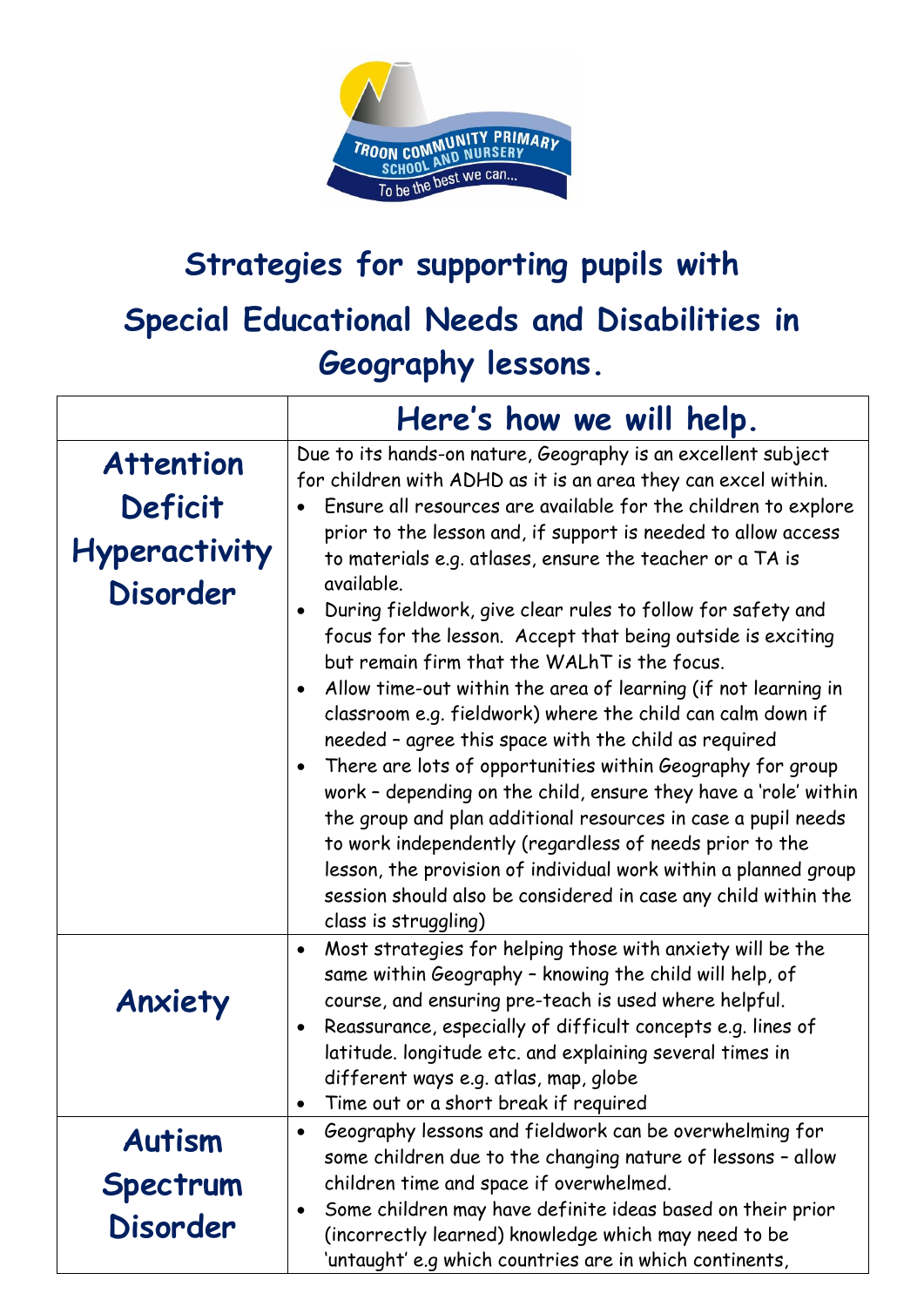

## **Strategies for supporting pupils with Special Educational Needs and Disabilities in Geography lessons.**

|                                                                        | Here's how we will help.                                                                                                                                                                                                                                                                                                                                                                                                                                                                                                                                                                                                                                                                                                                                                                                                                                                                                                                                                                                                                                                                                                                                               |
|------------------------------------------------------------------------|------------------------------------------------------------------------------------------------------------------------------------------------------------------------------------------------------------------------------------------------------------------------------------------------------------------------------------------------------------------------------------------------------------------------------------------------------------------------------------------------------------------------------------------------------------------------------------------------------------------------------------------------------------------------------------------------------------------------------------------------------------------------------------------------------------------------------------------------------------------------------------------------------------------------------------------------------------------------------------------------------------------------------------------------------------------------------------------------------------------------------------------------------------------------|
| <b>Attention</b><br><b>Deficit</b><br>Hyperactivity<br><b>Disorder</b> | Due to its hands-on nature, Geography is an excellent subject<br>for children with ADHD as it is an area they can excel within.<br>Ensure all resources are available for the children to explore<br>prior to the lesson and, if support is needed to allow access<br>to materials e.g. atlases, ensure the teacher or a TA is<br>available.<br>During fieldwork, give clear rules to follow for safety and<br>$\bullet$<br>focus for the lesson. Accept that being outside is exciting<br>but remain firm that the WALhT is the focus.<br>Allow time-out within the area of learning (if not learning in<br>classroom e.g. fieldwork) where the child can calm down if<br>needed - agree this space with the child as required<br>There are lots of opportunities within Geography for group<br>$\bullet$<br>work - depending on the child, ensure they have a 'role' within<br>the group and plan additional resources in case a pupil needs<br>to work independently (regardless of needs prior to the<br>lesson, the provision of individual work within a planned group<br>session should also be considered in case any child within the<br>class is struggling) |
| Anxiety                                                                | Most strategies for helping those with anxiety will be the<br>$\bullet$<br>same within Geography - knowing the child will help, of<br>course, and ensuring pre-teach is used where helpful.<br>Reassurance, especially of difficult concepts e.g. lines of<br>$\bullet$<br>latitude. longitude etc. and explaining several times in<br>different ways e.g. atlas, map, globe<br>Time out or a short break if required<br>$\bullet$                                                                                                                                                                                                                                                                                                                                                                                                                                                                                                                                                                                                                                                                                                                                     |
| <b>Autism</b><br>Spectrum<br><b>Disorder</b>                           | Geography lessons and fieldwork can be overwhelming for<br>$\bullet$<br>some children due to the changing nature of lessons - allow<br>children time and space if overwhelmed.<br>Some children may have definite ideas based on their prior<br>$\bullet$<br>(incorrectly learned) knowledge which may need to be<br>'untaught' e.g which countries are in which continents,                                                                                                                                                                                                                                                                                                                                                                                                                                                                                                                                                                                                                                                                                                                                                                                           |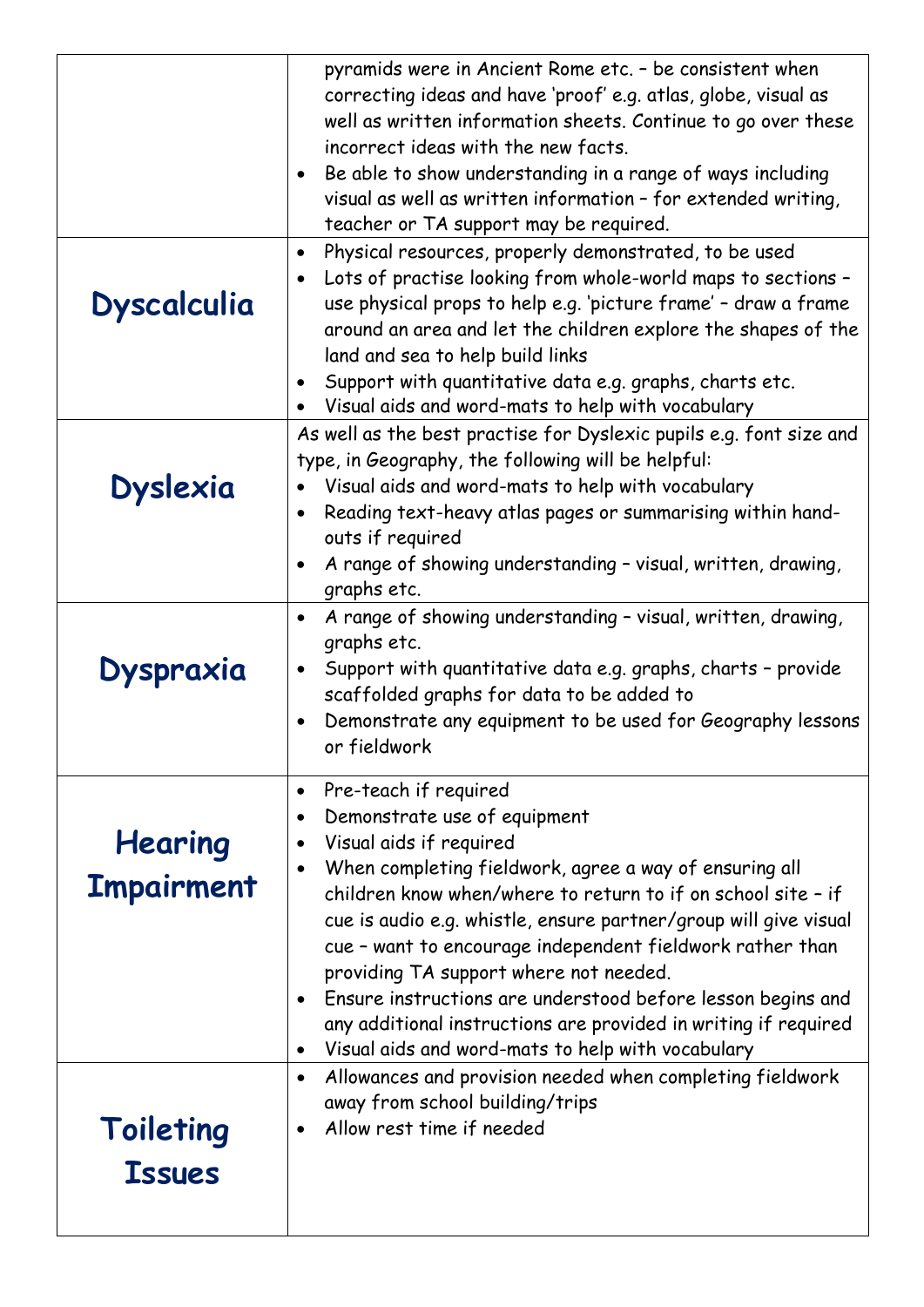| <b>Dyscalculia</b>           | pyramids were in Ancient Rome etc. - be consistent when<br>correcting ideas and have 'proof' e.g. atlas, globe, visual as<br>well as written information sheets. Continue to go over these<br>incorrect ideas with the new facts.<br>Be able to show understanding in a range of ways including<br>visual as well as written information - for extended writing,<br>teacher or TA support may be required.<br>Physical resources, properly demonstrated, to be used<br>$\bullet$<br>Lots of practise looking from whole-world maps to sections -<br>$\bullet$<br>use physical props to help e.g. 'picture frame' - draw a frame<br>around an area and let the children explore the shapes of the |
|------------------------------|--------------------------------------------------------------------------------------------------------------------------------------------------------------------------------------------------------------------------------------------------------------------------------------------------------------------------------------------------------------------------------------------------------------------------------------------------------------------------------------------------------------------------------------------------------------------------------------------------------------------------------------------------------------------------------------------------|
|                              | land and sea to help build links<br>Support with quantitative data e.g. graphs, charts etc.<br>Visual aids and word-mats to help with vocabulary                                                                                                                                                                                                                                                                                                                                                                                                                                                                                                                                                 |
| <b>Dyslexia</b>              | As well as the best practise for Dyslexic pupils e.g. font size and<br>type, in Geography, the following will be helpful:<br>Visual aids and word-mats to help with vocabulary<br>Reading text-heavy atlas pages or summarising within hand-<br>outs if required<br>A range of showing understanding - visual, written, drawing,<br>graphs etc.                                                                                                                                                                                                                                                                                                                                                  |
| Dyspraxia                    | A range of showing understanding - visual, written, drawing,<br>$\bullet$<br>graphs etc.<br>Support with quantitative data e.g. graphs, charts - provide<br>$\bullet$<br>scaffolded graphs for data to be added to<br>Demonstrate any equipment to be used for Geography lessons<br>or fieldwork                                                                                                                                                                                                                                                                                                                                                                                                 |
| Hearing<br><b>Impairment</b> | Pre-teach if required<br>$\bullet$<br>Demonstrate use of equipment<br>٠<br>Visual aids if required<br>$\bullet$<br>When completing fieldwork, agree a way of ensuring all<br>$\bullet$<br>children know when/where to return to if on school site - if<br>cue is audio e.g. whistle, ensure partner/group will give visual<br>cue - want to encourage independent fieldwork rather than<br>providing TA support where not needed.<br>Ensure instructions are understood before lesson begins and<br>any additional instructions are provided in writing if required<br>Visual aids and word-mats to help with vocabulary<br>$\bullet$                                                            |
| Toileting<br><b>Issues</b>   | Allowances and provision needed when completing fieldwork<br>$\bullet$<br>away from school building/trips<br>Allow rest time if needed                                                                                                                                                                                                                                                                                                                                                                                                                                                                                                                                                           |